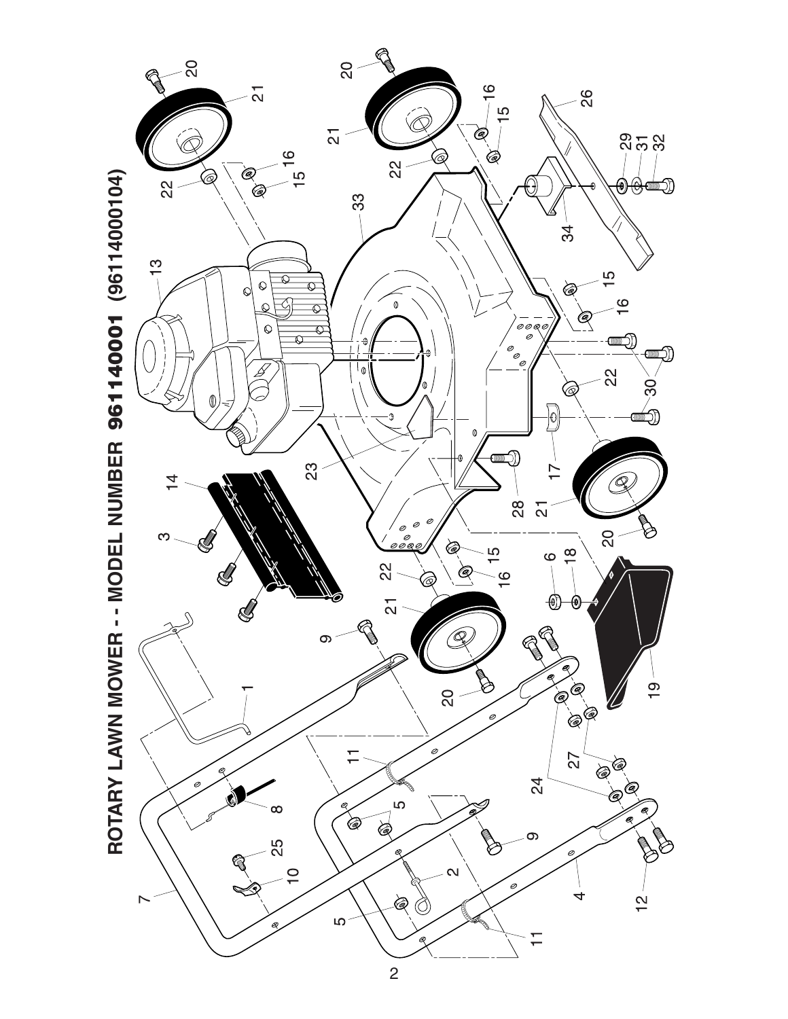